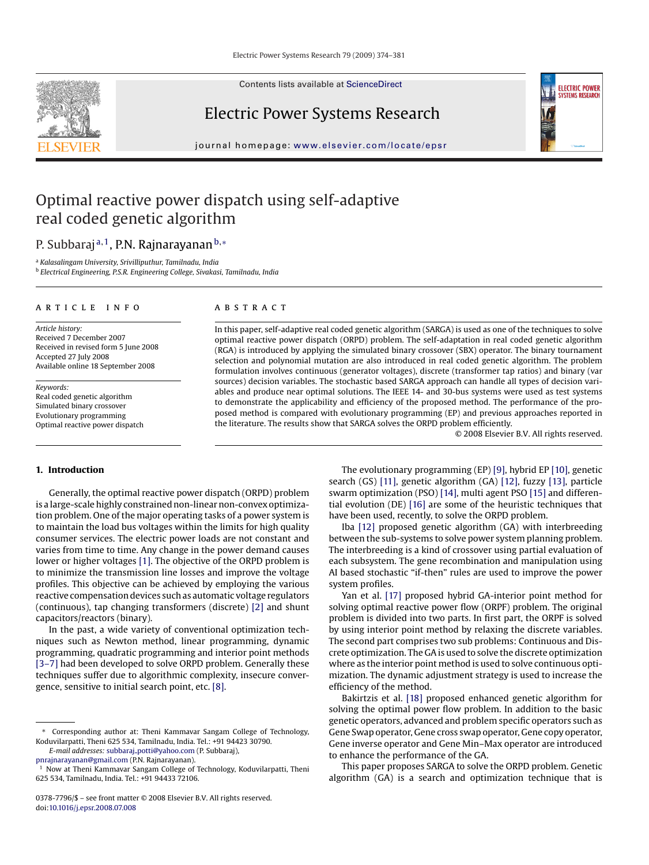Contents lists available at [ScienceDirect](http://www.sciencedirect.com/science/journal/03787796)

## Electric Power Systems Research

journal homepage: [www.elsevier.com/locate/epsr](http://www.elsevier.com/locate/epsr)

## Optimal reactive power dispatch using self-adaptive real coded genetic algorithm

# P. Subbaraj<sup>a,1</sup>, P.N. Rajnarayanan<sup>b,∗</sup>

<sup>a</sup> *Kalasalingam University, Srivilliputhur, Tamilnadu, India* <sup>b</sup> *Electrical Engineering, P.S.R. Engineering College, Sivakasi, Tamilnadu, India*

#### article info

*Article history:* Received 7 December 2007 Received in revised form 5 June 2008 Accepted 27 July 2008 Available online 18 September 2008

*Keywords:* Real coded genetic algorithm Simulated binary crossover Evolutionary programming Optimal reactive power dispatch

#### **ABSTRACT**

In this paper, self-adaptive real coded genetic algorithm (SARGA) is used as one of the techniques to solve optimal reactive power dispatch (ORPD) problem. The self-adaptation in real coded genetic algorithm (RGA) is introduced by applying the simulated binary crossover (SBX) operator. The binary tournament selection and polynomial mutation are also introduced in real coded genetic algorithm. The problem formulation involves continuous (generator voltages), discrete (transformer tap ratios) and binary (var sources) decision variables. The stochastic based SARGA approach can handle all types of decision variables and produce near optimal solutions. The IEEE 14- and 30-bus systems were used as test systems to demonstrate the applicability and efficiency of the proposed method. The performance of the proposed method is compared with evolutionary programming (EP) and previous approaches reported in the literature. The results show that SARGA solves the ORPD problem efficiently.

© 2008 Elsevier B.V. All rights reserved.

**ELECTRIC POWER SYSTEMS RESEARCH** 

## **1. Introduction**

Generally, the optimal reactive power dispatch (ORPD) problem is a large-scale highly constrained non-linear non-convex optimization problem. One of the major operating tasks of a power system is to maintain the load bus voltages within the limits for high quality consumer services. The electric power loads are not constant and varies from time to time. Any change in the power demand causes lower or higher voltages [\[1\]. T](#page--1-0)he objective of the ORPD problem is to minimize the transmission line losses and improve the voltage profiles. This objective can be achieved by employing the various reactive compensation devices such as automatic voltage regulators (continuous), tap changing transformers (discrete) [\[2\]](#page--1-0) and shunt capacitors/reactors (binary).

In the past, a wide variety of conventional optimization techniques such as Newton method, linear programming, dynamic programming, quadratic programming and interior point methods [\[3–7\]](#page--1-0) had been developed to solve ORPD problem. Generally these techniques suffer due to algorithmic complexity, insecure convergence, sensitive to initial search point, etc. [\[8\].](#page--1-0)

*E-mail addresses:* subbaraj [potti@yahoo.com](mailto:subbaraj_potti@yahoo.com) (P. Subbaraj), [pnrajnarayanan@gmail.com](mailto:pnrajnarayanan@gmail.com) (P.N. Rajnarayanan).

The evolutionary programming (EP) [\[9\], h](#page--1-0)ybrid EP [\[10\], g](#page--1-0)enetic search (GS) [\[11\], g](#page--1-0)enetic algorithm (GA) [\[12\],](#page--1-0) fuzzy [\[13\], p](#page--1-0)article swarm optimization (PSO) [\[14\], m](#page--1-0)ulti agent PSO [\[15\]](#page--1-0) and differential evolution (DE) [\[16\]](#page--1-0) are some of the heuristic techniques that have been used, recently, to solve the ORPD problem.

Iba [\[12\]](#page--1-0) proposed genetic algorithm (GA) with interbreeding between the sub-systems to solve power system planning problem. The interbreeding is a kind of crossover using partial evaluation of each subsystem. The gene recombination and manipulation using AI based stochastic "if-then" rules are used to improve the power system profiles.

Yan et al. [\[17\]](#page--1-0) proposed hybrid GA-interior point method for solving optimal reactive power flow (ORPF) problem. The original problem is divided into two parts. In first part, the ORPF is solved by using interior point method by relaxing the discrete variables. The second part comprises two sub problems: Continuous and Discrete optimization. The GA is used to solve the discrete optimization where as the interior point method is used to solve continuous optimization. The dynamic adjustment strategy is used to increase the efficiency of the method.

Bakirtzis et al. [\[18\]](#page--1-0) proposed enhanced genetic algorithm for solving the optimal power flow problem. In addition to the basic genetic operators, advanced and problem specific operators such as Gene Swap operator, Gene cross swap operator, Gene copy operator, Gene inverse operator and Gene Min–Max operator are introduced to enhance the performance of the GA.

This paper proposes SARGA to solve the ORPD problem. Genetic algorithm (GA) is a search and optimization technique that is



<sup>∗</sup> Corresponding author at: Theni Kammavar Sangam College of Technology, Koduvilarpatti, Theni 625 534, Tamilnadu, India. Tel.: +91 94423 30790.

<sup>&</sup>lt;sup>1</sup> Now at Theni Kammavar Sangam College of Technology, Koduvilarpatti, Theni 625 534, Tamilnadu, India. Tel.: +91 94433 72106.

<sup>0378-7796/\$ –</sup> see front matter © 2008 Elsevier B.V. All rights reserved. doi:[10.1016/j.epsr.2008.07.008](dx.doi.org/10.1016/j.epsr.2008.07.008)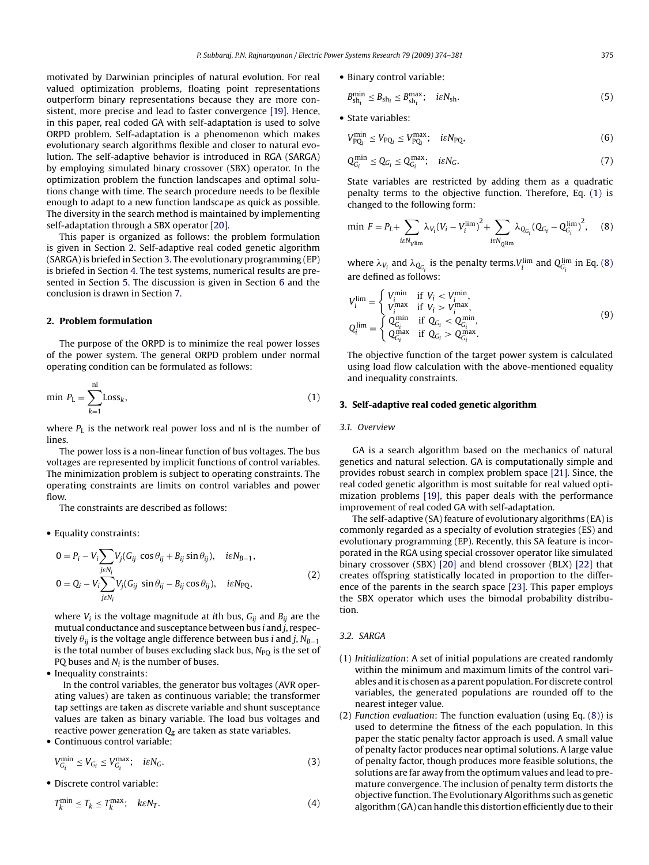motivated by Darwinian principles of natural evolution. For real valued optimization problems, floating point representations outperform binary representations because they are more consistent, more precise and lead to faster convergence [\[19\]. H](#page--1-0)ence, in this paper, real coded GA with self-adaptation is used to solve ORPD problem. Self-adaptation is a phenomenon which makes evolutionary search algorithms flexible and closer to natural evolution. The self-adaptive behavior is introduced in RGA (SARGA) by employing simulated binary crossover (SBX) operator. In the optimization problem the function landscapes and optimal solutions change with time. The search procedure needs to be flexible enough to adapt to a new function landscape as quick as possible. The diversity in the search method is maintained by implementing self-adaptation through a SBX operator [\[20\].](#page--1-0)

This paper is organized as follows: the problem formulation is given in Section 2. Self-adaptive real coded genetic algorithm (SARGA) is briefed in Section 3. The evolutionary programming (EP) is briefed in Section [4. T](#page--1-0)he test systems, numerical results are presented in Section [5.](#page--1-0) The discussion is given in Section [6](#page--1-0) and the conclusion is drawn in Section [7.](#page--1-0)

### **2. Problem formulation**

The purpose of the ORPD is to minimize the real power losses of the power system. The general ORPD problem under normal operating condition can be formulated as follows:

$$
\min P_{\mathcal{L}} = \sum_{k=1}^{\mathsf{nl}} \text{Loss}_k,\tag{1}
$$

where  $P_L$  is the network real power loss and nl is the number of lines.

The power loss is a non-linear function of bus voltages. The bus voltages are represented by implicit functions of control variables. The minimization problem is subject to operating constraints. The operating constraints are limits on control variables and power flow.

The constraints are described as follows:

#### • Equality constraints:

$$
0 = P_i - V_i \sum_{j \in N_i} V_j (G_{ij} \cos \theta_{ij} + B_{ij} \sin \theta_{ij}), \quad i \in N_{B-1},
$$
  
\n
$$
0 = Q_i - V_i \sum_{j \in N_i} V_j (G_{ij} \sin \theta_{ij} - B_{ij} \cos \theta_{ij}), \quad i \in N_{PQ},
$$
\n(2)

where  $V_i$  is the voltage magnitude at *i*th bus,  $G_{ij}$  and  $B_{ij}$  are the mutual conductance and susceptance between bus *i* and *j*, respectively  $\theta_{ij}$  is the voltage angle difference between bus *i* and *j*,  $N_{B-1}$ is the total number of buses excluding slack bus, *N*<sub>PO</sub> is the set of PQ buses and *Ni* is the number of buses.

• Inequality constraints:

In the control variables, the generator bus voltages (AVR operating values) are taken as continuous variable; the transformer tap settings are taken as discrete variable and shunt susceptance values are taken as binary variable. The load bus voltages and reactive power generation  $Q<sub>g</sub>$  are taken as state variables.

• Continuous control variable:

$$
V_{G_i}^{\min} \le V_{G_i} \le V_{G_i}^{\max}; \quad i\varepsilon N_G. \tag{3}
$$

• Discrete control variable:

$$
T_k^{\min} \le T_k \le T_k^{\max}; \quad k\epsilon N_T. \tag{4}
$$

• Binary control variable:

$$
B_{\text{sh}_i}^{\text{min}} \le B_{\text{sh}_i} \le B_{\text{sh}_i}^{\text{max}}; \quad i\varepsilon N_{\text{sh}}.
$$

• State variables:

$$
V_{\text{PQ}_i}^{\text{min}} \le V_{\text{PQ}_i} \le V_{\text{PQ}_i}^{\text{max}}; \quad i\varepsilon N_{\text{PQ}},\tag{6}
$$

$$
Q_{G_i}^{\min} \le Q_{G_i} \le Q_{G_i}^{\max}; \quad i\epsilon N_G. \tag{7}
$$

State variables are restricted by adding them as a quadratic penalty terms to the objective function. Therefore, Eq. (1) is changed to the following form:

$$
\min \, F = P_L + \sum_{i \in N_V \text{lim}} \lambda_{V_i} (V_i - V_i^{\text{lim}})^2 + \sum_{i \in N_Q \text{lim}} \lambda_{Q_{G_i}} (Q_{G_i} - Q_{G_i}^{\text{lim}})^2, \quad (8)
$$

where  $\lambda_{V_i}$  and  $\lambda_{Q_{G_i}}$  is the penalty terms.  $V_i^{\text{lim}}$  and  $Q_{G_i}^{\text{lim}}$  in Eq. (8) are defined as follows:

$$
V_i^{\text{lim}} = \begin{cases} V_i^{\text{min}} & \text{if } V_i < V_i^{\text{min}}, \\ V_i^{\text{max}} & \text{if } V_i > V_i^{\text{max}}, \\ V_i^{\text{min}} & \text{if } Q_{G_i} < Q_{G_i}^{\text{min}}, \\ Q_{G_i}^{\text{max}} & \text{if } Q_{G_i} > Q_{G_i}^{\text{max}}. \end{cases} \tag{9}
$$

The objective function of the target power system is calculated using load flow calculation with the above-mentioned equality and inequality constraints.

## **3. Self-adaptive real coded genetic algorithm**

#### *3.1. Overview*

GA is a search algorithm based on the mechanics of natural genetics and natural selection. GA is computationally simple and provides robust search in complex problem space [\[21\]. S](#page--1-0)ince, the real coded genetic algorithm is most suitable for real valued optimization problems [\[19\],](#page--1-0) this paper deals with the performance improvement of real coded GA with self-adaptation.

The self-adaptive (SA) feature of evolutionary algorithms (EA) is commonly regarded as a specialty of evolution strategies (ES) and evolutionary programming (EP). Recently, this SA feature is incorporated in the RGA using special crossover operator like simulated binary crossover (SBX) [\[20\]](#page--1-0) and blend crossover (BLX) [\[22\]](#page--1-0) that creates offspring statistically located in proportion to the difference of the parents in the search space [\[23\].](#page--1-0) This paper employs the SBX operator which uses the bimodal probability distribution.

### *3.2. SARGA*

- (1) *Initialization*: A set of initial populations are created randomly within the minimum and maximum limits of the control variables and it is chosen as a parent population. For discrete control variables, the generated populations are rounded off to the nearest integer value.
- (2) *Function evaluation*: The function evaluation (using Eq. (8)) is used to determine the fitness of the each population. In this paper the static penalty factor approach is used. A small value of penalty factor produces near optimal solutions. A large value of penalty factor, though produces more feasible solutions, the solutions are far away from the optimum values and lead to premature convergence. The inclusion of penalty term distorts the objective function. The Evolutionary Algorithms such as genetic algorithm (GA) can handle this distortion efficiently due to their